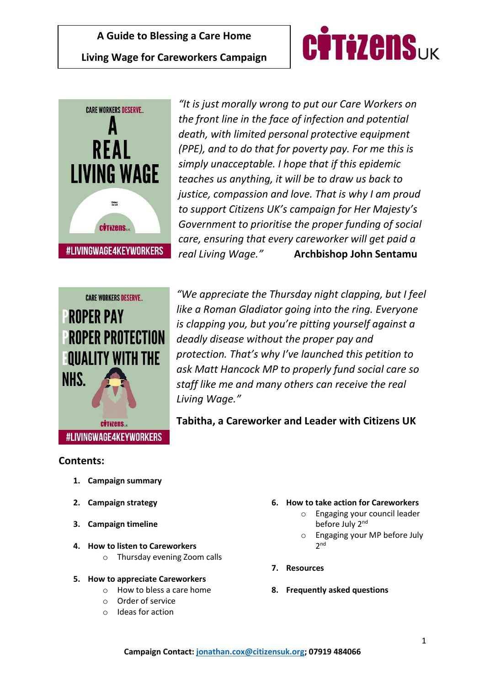





*"It is just morally wrong to put our Care Workers on the front line in the face of infection and potential death, with limited personal protective equipment (PPE), and to do that for poverty pay. For me this is simply unacceptable. I hope that if this epidemic teaches us anything, it will be to draw us back to justice, compassion and love. That is why I am proud to support Citizens UK's campaign for Her Majesty's Government to prioritise the proper funding of social care, ensuring that every careworker will get paid a real Living Wage."* **Archbishop John Sentamu**

*"We appreciate the Thursday night clapping, but I feel like a Roman Gladiator going into the ring. Everyone is clapping you, but you're pitting yourself against a deadly disease without the proper pay and protection. That's why I've launched this petition to ask Matt Hancock MP to properly fund social care so staff like me and many others can receive the real Living Wage."*

#LIVINGWAGE4KEYWORKERS

**Tabitha, a Careworker and Leader with Citizens UK** 

# **Contents:**

- **1. Campaign summary**
- **2. Campaign strategy**
- **3. Campaign timeline**
- **4. How to listen to Careworkers**
	- o Thursday evening Zoom calls

## **5. How to appreciate Careworkers**

- o How to bless a care home
- o Order of service
- o Ideas for action
- **6. How to take action for Careworkers**
	- o Engaging your council leader before July 2<sup>nd</sup>
	- o Engaging your MP before July 2 nd
- **7. Resources**
- **8. Frequently asked questions**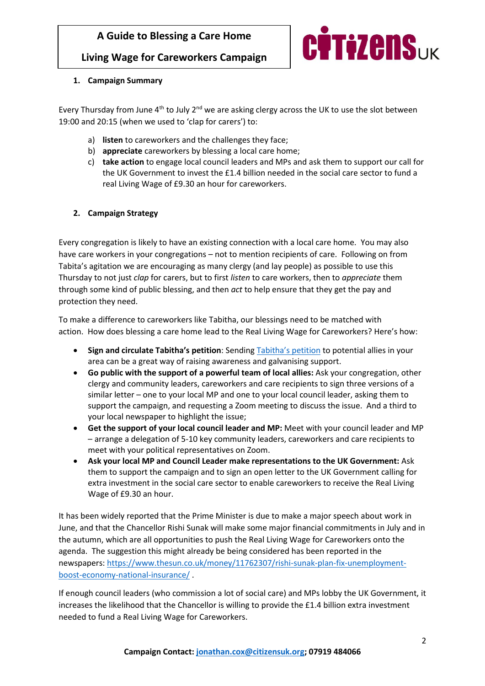**Living Wage for Careworkers Campaign**



## **1. Campaign Summary**

Every Thursday from June  $4<sup>th</sup>$  to July  $2<sup>nd</sup>$  we are asking clergy across the UK to use the slot between 19:00 and 20:15 (when we used to 'clap for carers') to:

- a) **listen** to careworkers and the challenges they face;
- b) **appreciate** careworkers by blessing a local care home;
- c) **take action** to engage local council leaders and MPs and ask them to support our call for the UK Government to invest the £1.4 billion needed in the social care sector to fund a real Living Wage of £9.30 an hour for careworkers.

## **2. Campaign Strategy**

Every congregation is likely to have an existing connection with a local care home. You may also have care workers in your congregations – not to mention recipients of care. Following on from Tabita's agitation we are encouraging as many clergy (and lay people) as possible to use this Thursday to not just *clap* for carers, but to first *listen* to care workers, then to *appreciate* them through some kind of public blessing, and then *act* to help ensure that they get the pay and protection they need.

To make a difference to careworkers like Tabitha, our blessings need to be matched with action. How does blessing a care home lead to the Real Living Wage for Careworkers? Here's how:

- **Sign and circulate Tabitha's petition**: Sending [Tabitha's petition](https://www.livingwage4keyworkers.org.uk/) to potential allies in your area can be a great way of raising awareness and galvanising support.
- **Go public with the support of a powerful team of local allies:** Ask your congregation, other clergy and community leaders, careworkers and care recipients to sign three versions of a similar letter – one to your local MP and one to your local council leader, asking them to support the campaign, and requesting a Zoom meeting to discuss the issue. And a third to your local newspaper to highlight the issue;
- **Get the support of your local council leader and MP:** Meet with your council leader and MP – arrange a delegation of 5-10 key community leaders, careworkers and care recipients to meet with your political representatives on Zoom.
- **Ask your local MP and Council Leader make representations to the UK Government:** Ask them to support the campaign and to sign an open letter to the UK Government calling for extra investment in the social care sector to enable careworkers to receive the Real Living Wage of £9.30 an hour.

It has been widely reported that the Prime Minister is due to make a major speech about work in June, and that the Chancellor Rishi Sunak will make some major financial commitments in July and in the autumn, which are all opportunities to push the Real Living Wage for Careworkers onto the agenda. The suggestion this might already be being considered has been reported in the newspapers: [https://www.thesun.co.uk/money/11762307/rishi-sunak-plan-fix-unemployment](https://www.thesun.co.uk/money/11762307/rishi-sunak-plan-fix-unemployment-boost-economy-national-insurance/)[boost-economy-national-insurance/](https://www.thesun.co.uk/money/11762307/rishi-sunak-plan-fix-unemployment-boost-economy-national-insurance/) .

If enough council leaders (who commission a lot of social care) and MPs lobby the UK Government, it increases the likelihood that the Chancellor is willing to provide the £1.4 billion extra investment needed to fund a Real Living Wage for Careworkers.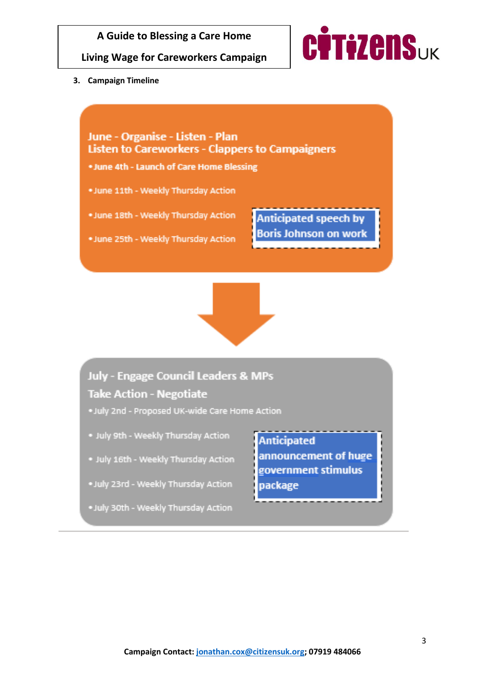

**Living Wage for Careworkers Campaign**



**3. Campaign Timeline**



**Take Action - Negotiate** 

- . July 2nd Proposed UK-wide Care Home Action
- . July 9th Weekly Thursday Action
- . July 16th Weekly Thursday Action
- .July 23rd Weekly Thursday Action
- . July 30th Weekly Thursday Action

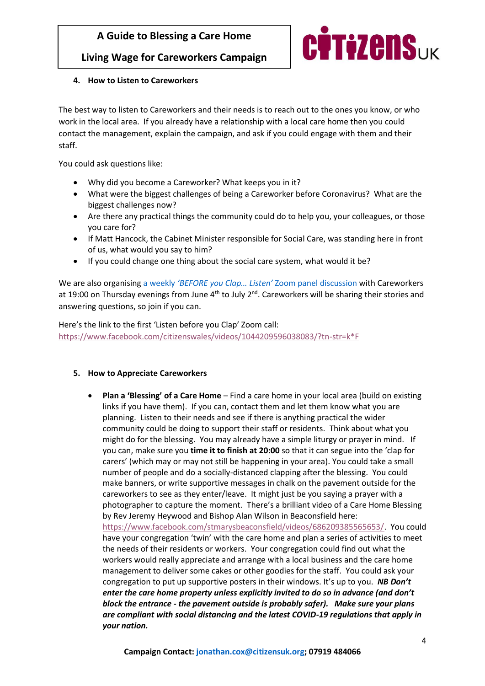# **Living Wage for Careworkers Campaign**



## **4. How to Listen to Careworkers**

The best way to listen to Careworkers and their needs is to reach out to the ones you know, or who work in the local area. If you already have a relationship with a local care home then you could contact the management, explain the campaign, and ask if you could engage with them and their staff.

You could ask questions like:

- Why did you become a Careworker? What keeps you in it?
- What were the biggest challenges of being a Careworker before Coronavirus? What are the biggest challenges now?
- Are there any practical things the community could do to help you, your colleagues, or those you care for?
- If Matt Hancock, the Cabinet Minister responsible for Social Care, was standing here in front of us, what would you say to him?
- If you could change one thing about the social care system, what would it be?

We are also organising a weekly *['BEFORE you Clap… Listen'](https://cuk.zoom.us/j/3977394096)* Zoom panel discussion with Careworkers at 19:00 on Thursday evenings from June  $4<sup>th</sup>$  to July  $2<sup>nd</sup>$ . Careworkers will be sharing their stories and answering questions, so join if you can.

Here's th[e link to t](https://www.facebook.com/citizenswales/videos/1044209596038083/?tn-str=k*F)he first 'Listen before you Clap' Zoom call: [https://www.facebook.com/citizenswales/videos/1044209596038083/?tn-str=k\\*F](https://www.facebook.com/citizenswales/videos/1044209596038083/?tn-str=k*F)

#### **5. How to Appreciate Careworkers**

• **Plan a 'Blessing' of a Care Home** – Find a care home in your local area (build on existing links if you have them). If you can, contact them and let them know what you are planning. Listen to their needs and see if there is anything practical the wider community could be doing to support their staff or residents. Think about what you might do for the blessing. You may already have a simple liturgy or prayer in mind. If you can, make sure you **time it to finish at 20:00** so that it can segue into the 'clap for carers' (which may or may not still be happening in your area). You could take a small number of people and do a socially-distanced clapping after the blessing. You could make banners, or write supportive messages in chalk on the pavement outside for the careworkers to see as they enter/leave. It might just be you saying a prayer with a photographer to capture the moment. There's a brilliant video of a C[are Home Blessing](https://www.facebook.com/stmarysbeaconsfield/videos/686209385565653/)  by Rev Jeremy Heywood and Bishop Alan Wilson in Beaconsfield here: [https://www.facebook.com/stmarysbeaconsfield/videos/686209385565653/.](https://www.facebook.com/stmarysbeaconsfield/videos/686209385565653/) You could have your congregation 'twin' with the care home and plan a series of activities to meet the needs of their residents or workers. Your congregation could find out what the workers would really appreciate and arrange with a local business and the care home management to deliver some cakes or other goodies for the staff. You could ask your congregation to put up supportive posters in their windows. It's up to you. *NB Don't enter the care home property unless explicitly invited to do so in advance (and don't block the entrance - the pavement outside is probably safer). Make sure your plans are compliant with social distancing and the latest COVID-19 regulations that apply in your nation.*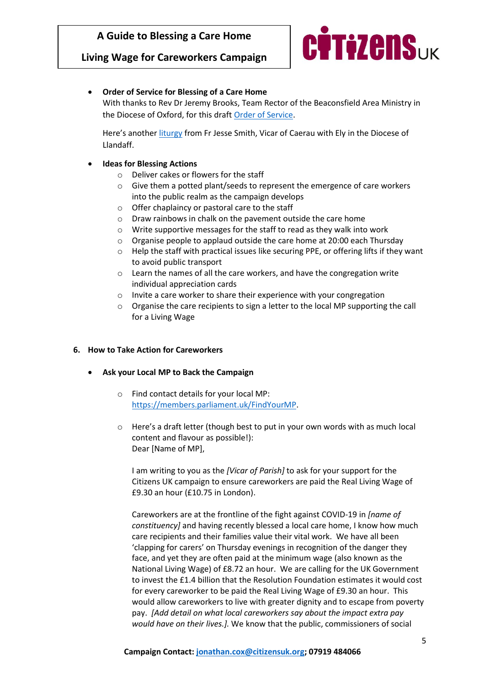# **Living Wage for Careworkers Campaign**



• **Order of Service for Blessing of a Care Home**

With thanks to Rev Dr Jeremy Brooks, Team Rector of the Beaconsfield Area Ministry in the Diocese of Oxford, for this draft [Order of Service.](https://www.dropbox.com/s/r02epuoi1fac410/Blessing%20for%20Care%20workers%20-%20updated.docx?dl=0)

Here's another [liturgy](https://www.dropbox.com/s/bfcjsmcwh9yz20v/BLESSING%20OF%20A%20CARE%20HOME%20-%20Fr%20Jesse%20Smith.docx?dl=0) from Fr Jesse Smith, Vicar of Caerau with Ely in the Diocese of Llandaff.

- **Ideas for Blessing Actions**
	- o Deliver cakes or flowers for the staff
	- o Give them a potted plant/seeds to represent the emergence of care workers into the public realm as the campaign develops
	- o Offer chaplaincy or pastoral care to the staff
	- o Draw rainbows in chalk on the pavement outside the care home
	- o Write supportive messages for the staff to read as they walk into work
	- $\circ$  Organise people to applaud outside the care home at 20:00 each Thursday
	- $\circ$  Help the staff with practical issues like securing PPE, or offering lifts if they want to avoid public transport
	- o Learn the names of all the care workers, and have the congregation write individual appreciation cards
	- o Invite a care worker to share their experience with your congregation
	- o Organise the care recipients to sign a letter to the local MP supporting the call for a Living Wage

#### **6. How to Take Action for Careworkers**

- **Ask your Local MP to Back the Campaign**
	- o Find contact details for your local MP: [https://members.parliament.uk/FindYourMP.](https://members.parliament.uk/FindYourMP)
	- $\circ$  Here's a draft letter (though best to put in your own words with as much local content and flavour as possible!): Dear [Name of MP],

I am writing to you as the *[Vicar of Parish]* to ask for your support for the Citizens UK campaign to ensure careworkers are paid the Real Living Wage of £9.30 an hour (£10.75 in London).

Careworkers are at the frontline of the fight against COVID-19 in *[name of constituency]* and having recently blessed a local care home, I know how much care recipients and their families value their vital work. We have all been 'clapping for carers' on Thursday evenings in recognition of the danger they face, and yet they are often paid at the minimum wage (also known as the National Living Wage) of £8.72 an hour. We are calling for the UK Government to invest the £1.4 billion that the Resolution Foundation estimates it would cost for every careworker to be paid the Real Living Wage of £9.30 an hour. This would allow careworkers to live with greater dignity and to escape from poverty pay. *[Add detail on what local careworkers say about the impact extra pay would have on their lives.].* We know that the public, commissioners of social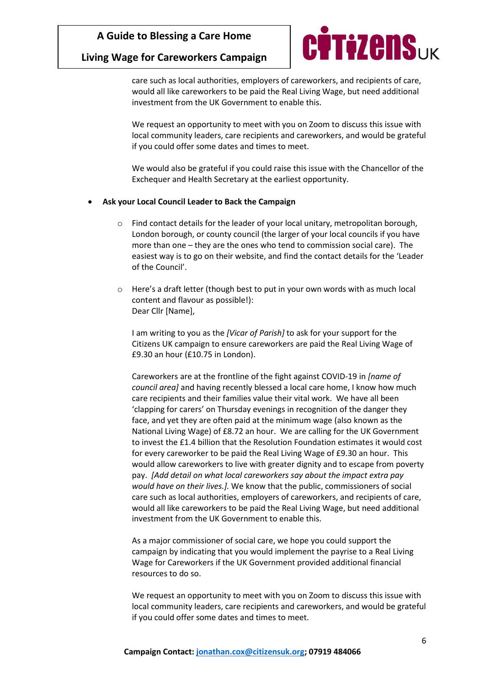## **Living Wage for Careworkers Campaign**



care such as local authorities, employers of careworkers, and recipients of care, would all like careworkers to be paid the Real Living Wage, but need additional investment from the UK Government to enable this.

We request an opportunity to meet with you on Zoom to discuss this issue with local community leaders, care recipients and careworkers, and would be grateful if you could offer some dates and times to meet.

We would also be grateful if you could raise this issue with the Chancellor of the Exchequer and Health Secretary at the earliest opportunity.

#### • **Ask your Local Council Leader to Back the Campaign**

- $\circ$  Find contact details for the leader of your local unitary, metropolitan borough, London borough, or county council (the larger of your local councils if you have more than one – they are the ones who tend to commission social care). The easiest way is to go on their website, and find the contact details for the 'Leader of the Council'.
- o Here's a draft letter (though best to put in your own words with as much local content and flavour as possible!): Dear Cllr [Name],

I am writing to you as the *[Vicar of Parish]* to ask for your support for the Citizens UK campaign to ensure careworkers are paid the Real Living Wage of £9.30 an hour (£10.75 in London).

Careworkers are at the frontline of the fight against COVID-19 in *[name of council area]* and having recently blessed a local care home, I know how much care recipients and their families value their vital work. We have all been 'clapping for carers' on Thursday evenings in recognition of the danger they face, and yet they are often paid at the minimum wage (also known as the National Living Wage) of £8.72 an hour. We are calling for the UK Government to invest the £1.4 billion that the Resolution Foundation estimates it would cost for every careworker to be paid the Real Living Wage of £9.30 an hour. This would allow careworkers to live with greater dignity and to escape from poverty pay. *[Add detail on what local careworkers say about the impact extra pay would have on their lives.].* We know that the public, commissioners of social care such as local authorities, employers of careworkers, and recipients of care, would all like careworkers to be paid the Real Living Wage, but need additional investment from the UK Government to enable this.

As a major commissioner of social care, we hope you could support the campaign by indicating that you would implement the payrise to a Real Living Wage for Careworkers if the UK Government provided additional financial resources to do so.

We request an opportunity to meet with you on Zoom to discuss this issue with local community leaders, care recipients and careworkers, and would be grateful if you could offer some dates and times to meet.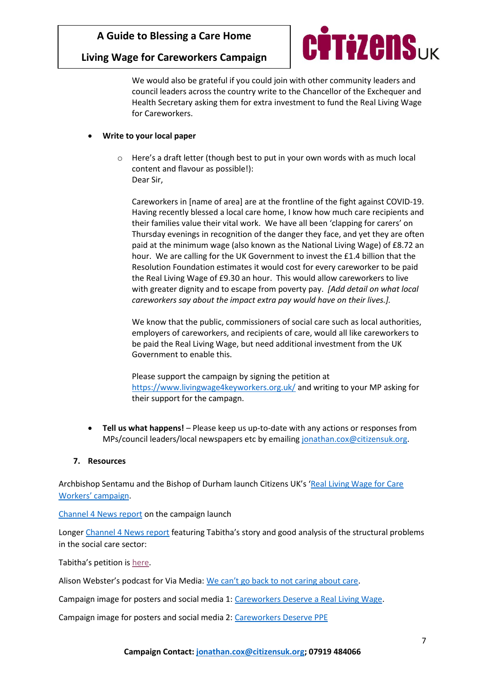## **Living Wage for Careworkers Campaign**



We would also be grateful if you could join with other community leaders and council leaders across the country write to the Chancellor of the Exchequer and Health Secretary asking them for extra investment to fund the Real Living Wage for Careworkers.

#### • **Write to your local paper**

o Here's a draft letter (though best to put in your own words with as much local content and flavour as possible!): Dear Sir,

Careworkers in [name of area] are at the frontline of the fight against COVID-19. Having recently blessed a local care home, I know how much care recipients and their families value their vital work. We have all been 'clapping for carers' on Thursday evenings in recognition of the danger they face, and yet they are often paid at the minimum wage (also known as the National Living Wage) of £8.72 an hour. We are calling for the UK Government to invest the £1.4 billion that the Resolution Foundation estimates it would cost for every careworker to be paid the Real Living Wage of £9.30 an hour. This would allow careworkers to live with greater dignity and to escape from poverty pay. *[Add detail on what local careworkers say about the impact extra pay would have on their lives.].* 

We know that the public, commissioners of social care such as local authorities, employers of careworkers, and recipients of care, would all like careworkers to be paid the Real Living Wage, but need additional investment from the UK Government to enable this.

Please support the campaign by signing the petition at <https://www.livingwage4keyworkers.org.uk/> and writing to your MP asking for their support for the campagn.

• **Tell us what happens!** – Please keep us up-to-date with any actions or responses from MPs/council leaders/local newspapers etc by emailing [jonathan.cox@citizensuk.org.](mailto:jonathan.cox@citizensuk.org)

#### **7. Resources**

Archbishop Sentamu and the Bishop of Durham launch Citizens UK's '[Real Living Wage for Care](https://www.archbishopofyork.org/news/news-2020/citizens-uk-launches-campaign-real-living-wage-key-workers-social-care-sector)  [Workers' campaig](https://www.archbishopofyork.org/news/news-2020/citizens-uk-launches-campaign-real-living-wage-key-workers-social-care-sector)n.

[Channel 4 News report](https://www.channel4.com/news/calls-for-key-workers-to-be-paid-real-living-wage) on the campaign launch

Longer [Channel 4 News report](https://www.channel4.com/news/charities-demand-care-home-workers-are-paid-a-living-wage) featuring Tabitha's story and good analysis of the structural problems in the social care sector:

Tabitha's petition is [here.](https://www.livingwage4keyworkers.org.uk/)

Alison Webster's podcast for Via Media: We [can't go back to not caring about care](https://viamedia.news/2020/06/02/we-cant-go-back-to-not-caring-about-care/?fbclid=IwAR1vU7002dVuVvUZkgnEiXnmJolktZfPrp2gdzZtRvv8RD9FCjxW1H1ogRE).

Campaign image for posters and social media 1: [Careworkers Deserve a Real Living Wage.](https://www.dropbox.com/s/3fu0p9sr48apm65/Careworkers%20RLW%20-%20Rainbow.jpg?dl=0)

Campaign image for posters and social media 2: [Careworkers Deserve PPE](https://www.dropbox.com/s/5su3f1oud9sapmj/Careworkers%20PPE.jpg?dl=0)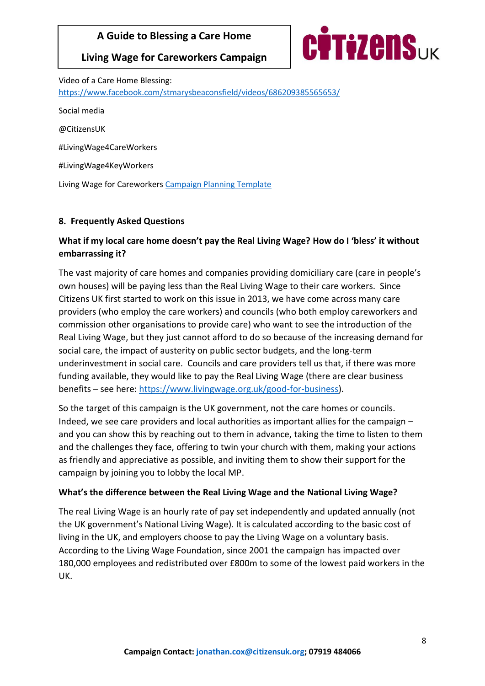**Living Wage for Careworkers Campaign**



Video of a Care Home Blessing: <https://www.facebook.com/stmarysbeaconsfield/videos/686209385565653/> Social media @CitizensUK #LivingWage4CareWorkers #LivingWage4KeyWorkers Living Wage for Careworkers [Campaign Planning Template](https://www.dropbox.com/s/iktcyoa6sh96fjc/PPE%20for%20Careworkers%20Template%20updated.docx?dl=0)

# **8. Frequently Asked Questions**

# **What if my local care home doesn't pay the Real Living Wage? How do I 'bless' it without embarrassing it?**

The vast majority of care homes and companies providing domiciliary care (care in people's own houses) will be paying less than the Real Living Wage to their care workers. Since Citizens UK first started to work on this issue in 2013, we have come across many care providers (who employ the care workers) and councils (who both employ careworkers and commission other organisations to provide care) who want to see the introduction of the Real Living Wage, but they just cannot afford to do so because of the increasing demand for social care, the impact of austerity on public sector budgets, and the long-term underinvestment in social care. Councils and care providers tell us that, if there was more funding available, they would like to pay the Real Living Wage (there are clear business benefits – see here: [https://www.livingwage.org.uk/good-for-business\)](https://www.livingwage.org.uk/good-for-business).

So the target of this campaign is the UK government, not the care homes or councils. Indeed, we see care providers and local authorities as important allies for the campaign – and you can show this by reaching out to them in advance, taking the time to listen to them and the challenges they face, offering to twin your church with them, making your actions as friendly and appreciative as possible, and inviting them to show their support for the campaign by joining you to lobby the local MP.

## **What's the difference between the Real Living Wage and the National Living Wage?**

The real Living Wage is an hourly rate of pay set independently and updated annually (not the UK government's National Living Wage). It is calculated according to the basic cost of living in the UK, and employers choose to pay the Living Wage on a voluntary basis. According to the Living Wage Foundation, since 2001 the campaign has impacted over 180,000 employees and redistributed over £800m to some of the lowest paid workers in the UK.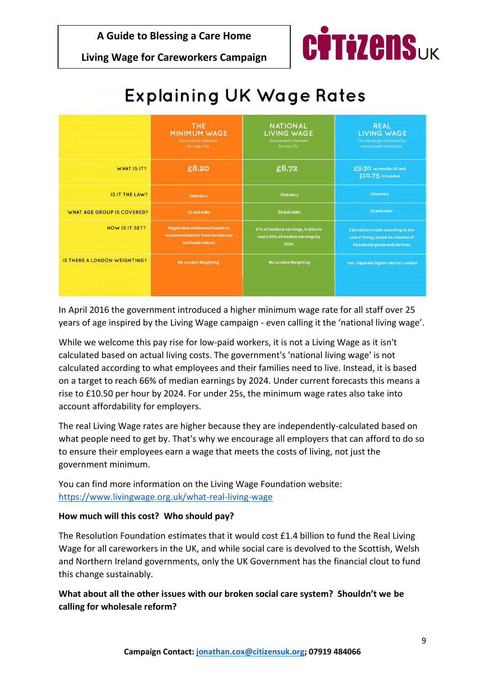**Living Wage for Careworkers Campaign**



# **Explaining UK Wage Rates**

|                                     | <b>THE</b><br><b>MINIMUM WAGE</b><br>Government minimum<br>for under 25s                     | <b>NATIONAL</b><br><b>LIVING WAGE</b><br>Government minimum<br>for over 25s   | <b>REAL</b><br><b>LIVING WAGE</b><br>The only wage rate based on<br>what people need to live                     |
|-------------------------------------|----------------------------------------------------------------------------------------------|-------------------------------------------------------------------------------|------------------------------------------------------------------------------------------------------------------|
| WHAT IS IT?                         | £8.20                                                                                        | £8.72                                                                         | £9.30 across the UK and<br>£10.75 in London                                                                      |
| IS IT THE LAW?                      | <b>Statutory</b>                                                                             | <b>Statutory</b>                                                              | <b>Voluntary</b>                                                                                                 |
| <b>WHAT AGE GROUP IS COVERED?</b>   | 21 and older                                                                                 | 25 and older                                                                  | 18 and older                                                                                                     |
| HOW IS IT SET?                      | <b>Negotiated settlement based on</b><br>recommendations from businesses<br>and trade unions | A% of medium earnings, it aims to<br>reach 66% of median earnings by<br>2024. | <b>Calculation made according to the</b><br>cost of living, based on a basket of<br>household goods and services |
| <b>IS THERE A LONDON WEIGHTING?</b> | <b>No London Weighting</b>                                                                   | <b>No London Weighting</b>                                                    | Yes - Separate higher rate for London                                                                            |

In April 2016 the government introduced a higher minimum wage rate for all staff over 25 years of age inspired by the Living Wage campaign - even calling it the 'national living wage'.

While we welcome this pay rise for low-paid workers, it is not a Living Wage as it isn't calculated based on actual living costs. The government's 'national living wage' is not calculated according to what employees and their families need to live. Instead, it is based on a target to reach 66% of median earnings by 2024. Under current forecasts this means a rise to £10.50 per hour by 2024. For under 25s, the minimum wage rates also take into account affordability for employers.

The real Living Wage rates are higher because they are independently-calculated based on what people need to get by. That's why we encourage all employers that can afford to do so to ensure their employees earn a wage that meets the costs of living, not just the government minimum.

You can find more information on the Living Wage Foundation website: <https://www.livingwage.org.uk/what-real-living-wage>

## **How much will this cost? Who should pay?**

The Resolution Foundation estimates that it would cost £1.4 billion to fund the Real Living Wage for all careworkers in the UK, and while social care is devolved to the Scottish, Welsh and Northern Ireland governments, only the UK Government has the financial clout to fund this change sustainably.

**What about all the other issues with our broken social care system? Shouldn't we be calling for wholesale reform?**